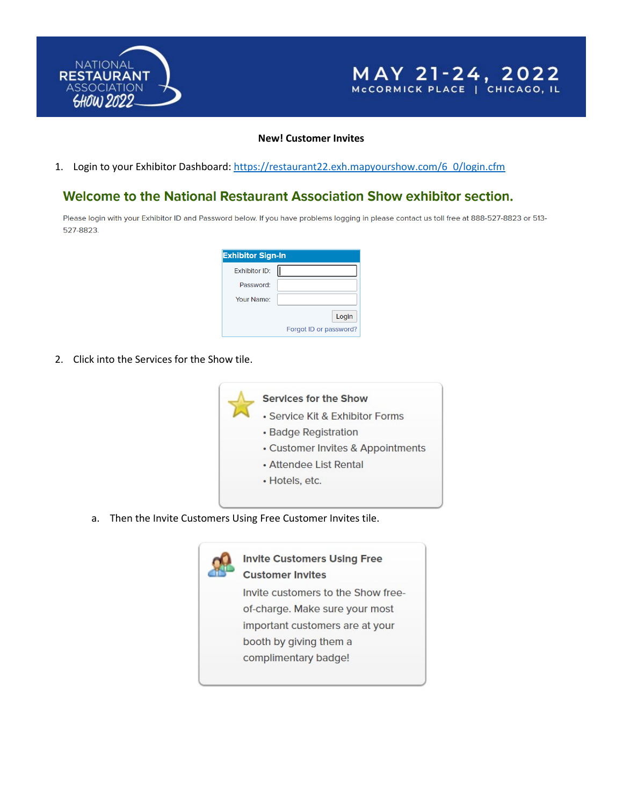



#### **New! Customer Invites**

1. Login to your Exhibitor Dashboard: [https://restaurant22.exh.mapyourshow.com/6\\_0/login.cfm](https://restaurant22.exh.mapyourshow.com/6_0/login.cfm)

## Welcome to the National Restaurant Association Show exhibitor section.

Please login with your Exhibitor ID and Password below. If you have problems logging in please contact us toll free at 888-527-8823 or 513-527-8823.

| <b>Exhibitor Sign-In</b> |                        |
|--------------------------|------------------------|
| Exhibitor ID:            |                        |
| Password:                |                        |
| Your Name:               |                        |
|                          | Login                  |
|                          | Forgot ID or password? |

2. Click into the Services for the Show tile.



a. Then the Invite Customers Using Free Customer Invites tile.

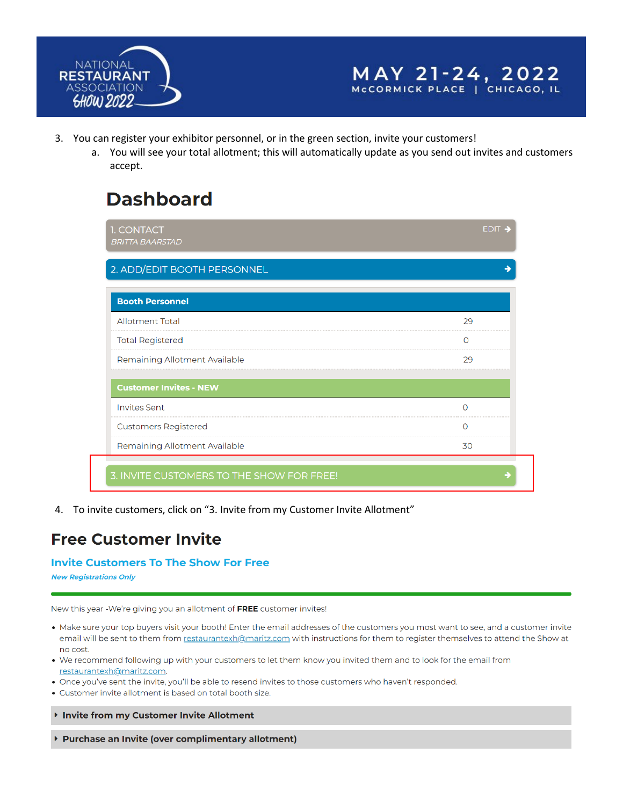



- 3. You can register your exhibitor personnel, or in the green section, invite your customers!
	- a. You will see your total allotment; this will automatically update as you send out invites and customers accept.

# **Dashboard**

| 1. CONTACT<br><b>BRITTA BAARSTAD</b> | $EDIT -$ |
|--------------------------------------|----------|
| 2. ADD/EDIT BOOTH PERSONNEL          |          |
| <b>Booth Personnel</b>               |          |
| <b>Allotment Total</b>               | 29       |
| <b>Total Registered</b>              | O        |
| Remaining Allotment Available        | 29       |
| <b>Customer Invites - NEW</b>        |          |
| <b>Invites Sent</b>                  |          |
| <b>Customers Registered</b>          | ∩        |
|                                      |          |

4. To invite customers, click on "3. Invite from my Customer Invite Allotment"

# **Free Customer Invite**

### **Invite Customers To The Show For Free**

**New Registrations Only** 

New this year -We're giving you an allotment of FREE customer invites!

- Make sure your top buyers visit your booth! Enter the email addresses of the customers you most want to see, and a customer invite email will be sent to them from restaurantexh@maritz.com with instructions for them to register themselves to attend the Show at no cost.
- . We recommend following up with your customers to let them know you invited them and to look for the email from restaurantexh@maritz.com.
- . Once you've sent the invite, you'll be able to resend invites to those customers who haven't responded.
- Customer invite allotment is based on total booth size.

Invite from my Customer Invite Allotment

▶ Purchase an Invite (over complimentary allotment)